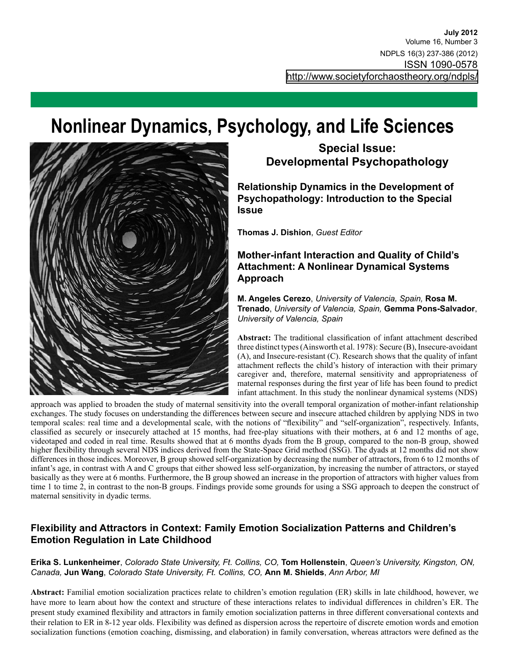# **Nonlinear Dynamics, Psychology, and Life Sciences**



# **Special Issue: Developmental Psychopathology**

**Relationship Dynamics in the Development of Psychopathology: Introduction to the Special Issue**

**Thomas J. Dishion**, *Guest Editor*

## **Mother-infant Interaction and Quality of Child's Attachment: A Nonlinear Dynamical Systems Approach**

**M. Angeles Cerezo**, *University of Valencia, Spain,* **Rosa M. Trenado**, *University of Valencia, Spain,* **Gemma Pons-Salvador**, *University of Valencia, Spain*

**Abstract:** The traditional classification of infant attachment described three distinct types (Ainsworth et al. 1978): Secure (B), Insecure-avoidant (A), and Insecure-resistant (C). Research shows that the quality of infant attachment reflects the child's history of interaction with their primary caregiver and, therefore, maternal sensitivity and appropriateness of maternal responses during the first year of life has been found to predict infant attachment. In this study the nonlinear dynamical systems (NDS)

approach was applied to broaden the study of maternal sensitivity into the overall temporal organization of mother-infant relationship exchanges. The study focuses on understanding the differences between secure and insecure attached children by applying NDS in two temporal scales: real time and a developmental scale, with the notions of "flexibility" and "self-organization", respectively. Infants, classified as securely or insecurely attached at 15 months, had free-play situations with their mothers, at 6 and 12 months of age, videotaped and coded in real time. Results showed that at 6 months dyads from the B group, compared to the non-B group, showed higher flexibility through several NDS indices derived from the State-Space Grid method (SSG). The dyads at 12 months did not show differences in those indices. Moreover, B group showed self-organization by decreasing the number of attractors, from 6 to 12 months of infant's age, in contrast with A and C groups that either showed less self-organization, by increasing the number of attractors, or stayed basically as they were at 6 months. Furthermore, the B group showed an increase in the proportion of attractors with higher values from time 1 to time 2, in contrast to the non-B groups. Findings provide some grounds for using a SSG approach to deepen the construct of maternal sensitivity in dyadic terms.

## **Flexibility and Attractors in Context: Family Emotion Socialization Patterns and Children's Emotion Regulation in Late Childhood**

#### **Erika S. Lunkenheimer**, *Colorado State University, Ft. Collins, CO,* **Tom Hollenstein**, *Queen's University, Kingston, ON, Canada,* **Jun Wang**, *Colorado State University, Ft. Collins, CO,* **Ann M. Shields**, *Ann Arbor, MI*

**Abstract:** Familial emotion socialization practices relate to children's emotion regulation (ER) skills in late childhood, however, we have more to learn about how the context and structure of these interactions relates to individual differences in children's ER. The present study examined flexibility and attractors in family emotion socialization patterns in three different conversational contexts and their relation to ER in 8-12 year olds. Flexibility was defined as dispersion across the repertoire of discrete emotion words and emotion socialization functions (emotion coaching, dismissing, and elaboration) in family conversation, whereas attractors were defined as the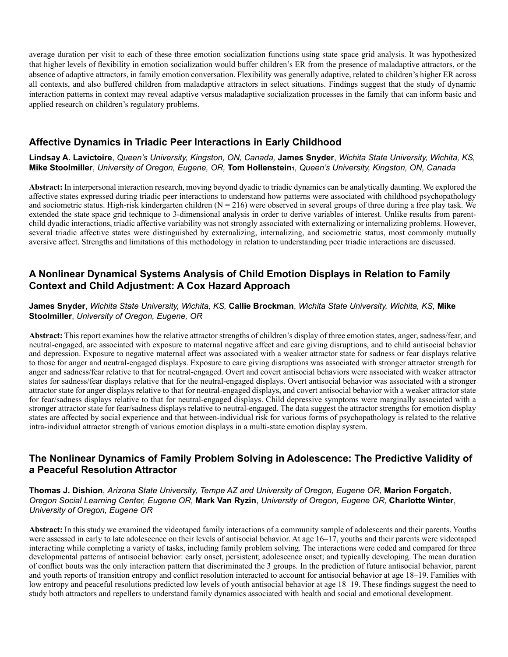average duration per visit to each of these three emotion socialization functions using state space grid analysis. It was hypothesized that higher levels of flexibility in emotion socialization would buffer children's ER from the presence of maladaptive attractors, or the absence of adaptive attractors, in family emotion conversation. Flexibility was generally adaptive, related to children's higher ER across all contexts, and also buffered children from maladaptive attractors in select situations. Findings suggest that the study of dynamic interaction patterns in context may reveal adaptive versus maladaptive socialization processes in the family that can inform basic and applied research on children's regulatory problems.

## **Affective Dynamics in Triadic Peer Interactions in Early Childhood**

#### **Lindsay A. Lavictoire**, *Queen's University, Kingston, ON, Canada,* **James Snyder**, *Wichita State University, Wichita, KS,* **Mike Stoolmiller**, *University of Oregon, Eugene, OR,* **Tom Hollenstein1**, *Queen's University, Kingston, ON, Canada*

**Abstract:** In interpersonal interaction research, moving beyond dyadic to triadic dynamics can be analytically daunting. We explored the affective states expressed during triadic peer interactions to understand how patterns were associated with childhood psychopathology and sociometric status. High-risk kindergarten children ( $N = 216$ ) were observed in several groups of three during a free play task. We extended the state space grid technique to 3-dimensional analysis in order to derive variables of interest. Unlike results from parentchild dyadic interactions, triadic affective variability was not strongly associated with externalizing or internalizing problems. However, several triadic affective states were distinguished by externalizing, internalizing, and sociometric status, most commonly mutually aversive affect. Strengths and limitations of this methodology in relation to understanding peer triadic interactions are discussed.

## **A Nonlinear Dynamical Systems Analysis of Child Emotion Displays in Relation to Family Context and Child Adjustment: A Cox Hazard Approach**

#### **James Snyder**, *Wichita State University, Wichita, KS,* **Callie Brockman**, *Wichita State University, Wichita, KS,* **Mike Stoolmiller**, *University of Oregon, Eugene, OR*

**Abstract:** This report examines how the relative attractor strengths of children's display of three emotion states, anger, sadness/fear, and neutral-engaged, are associated with exposure to maternal negative affect and care giving disruptions, and to child antisocial behavior and depression. Exposure to negative maternal affect was associated with a weaker attractor state for sadness or fear displays relative to those for anger and neutral-engaged displays. Exposure to care giving disruptions was associated with stronger attractor strength for anger and sadness/fear relative to that for neutral-engaged. Overt and covert antisocial behaviors were associated with weaker attractor states for sadness/fear displays relative that for the neutral-engaged displays. Overt antisocial behavior was associated with a stronger attractor state for anger displays relative to that for neutral-engaged displays, and covert antisocial behavior with a weaker attractor state for fear/sadness displays relative to that for neutral-engaged displays. Child depressive symptoms were marginally associated with a stronger attractor state for fear/sadness displays relative to neutral-engaged. The data suggest the attractor strengths for emotion display states are affected by social experience and that between-individual risk for various forms of psychopathology is related to the relative intra-individual attractor strength of various emotion displays in a multi-state emotion display system.

### **The Nonlinear Dynamics of Family Problem Solving in Adolescence: The Predictive Validity of a Peaceful Resolution Attractor**

**Thomas J. Dishion**, *Arizona State University, Tempe AZ and University of Oregon, Eugene OR,* **Marion Forgatch**, *Oregon Social Learning Center, Eugene OR,* **Mark Van Ryzin**, *University of Oregon, Eugene OR,* **Charlotte Winter**, *University of Oregon, Eugene OR*

**Abstract:** In this study we examined the videotaped family interactions of a community sample of adolescents and their parents. Youths were assessed in early to late adolescence on their levels of antisocial behavior. At age 16–17, youths and their parents were videotaped interacting while completing a variety of tasks, including family problem solving. The interactions were coded and compared for three developmental patterns of antisocial behavior: early onset, persistent; adolescence onset; and typically developing. The mean duration of conflict bouts was the only interaction pattern that discriminated the 3 groups. In the prediction of future antisocial behavior, parent and youth reports of transition entropy and conflict resolution interacted to account for antisocial behavior at age 18–19. Families with low entropy and peaceful resolutions predicted low levels of youth antisocial behavior at age 18–19. These findings suggest the need to study both attractors and repellers to understand family dynamics associated with health and social and emotional development.